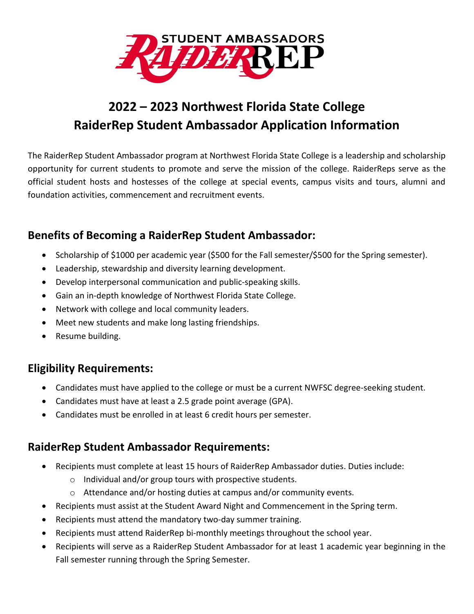

# **2022 – 2023 Northwest Florida State College RaiderRep Student Ambassador Application Information**

The RaiderRep Student Ambassador program at Northwest Florida State College is a leadership and scholarship opportunity for current students to promote and serve the mission of the college. RaiderReps serve as the official student hosts and hostesses of the college at special events, campus visits and tours, alumni and foundation activities, commencement and recruitment events.

### **Benefits of Becoming a RaiderRep Student Ambassador:**

- Scholarship of \$1000 per academic year (\$500 for the Fall semester/\$500 for the Spring semester).
- Leadership, stewardship and diversity learning development.
- Develop interpersonal communication and public-speaking skills.
- Gain an in-depth knowledge of Northwest Florida State College.
- Network with college and local community leaders.
- Meet new students and make long lasting friendships.
- Resume building.

### **Eligibility Requirements:**

- Candidates must have applied to the college or must be a current NWFSC degree-seeking student.
- Candidates must have at least a 2.5 grade point average (GPA).
- Candidates must be enrolled in at least 6 credit hours per semester.

### **RaiderRep Student Ambassador Requirements:**

- Recipients must complete at least 15 hours of RaiderRep Ambassador duties. Duties include:
	- o Individual and/or group tours with prospective students.
	- o Attendance and/or hosting duties at campus and/or community events.
- Recipients must assist at the Student Award Night and Commencement in the Spring term.
- Recipients must attend the mandatory two-day summer training.
- Recipients must attend RaiderRep bi-monthly meetings throughout the school year.
- Recipients will serve as a RaiderRep Student Ambassador for at least 1 academic year beginning in the Fall semester running through the Spring Semester.